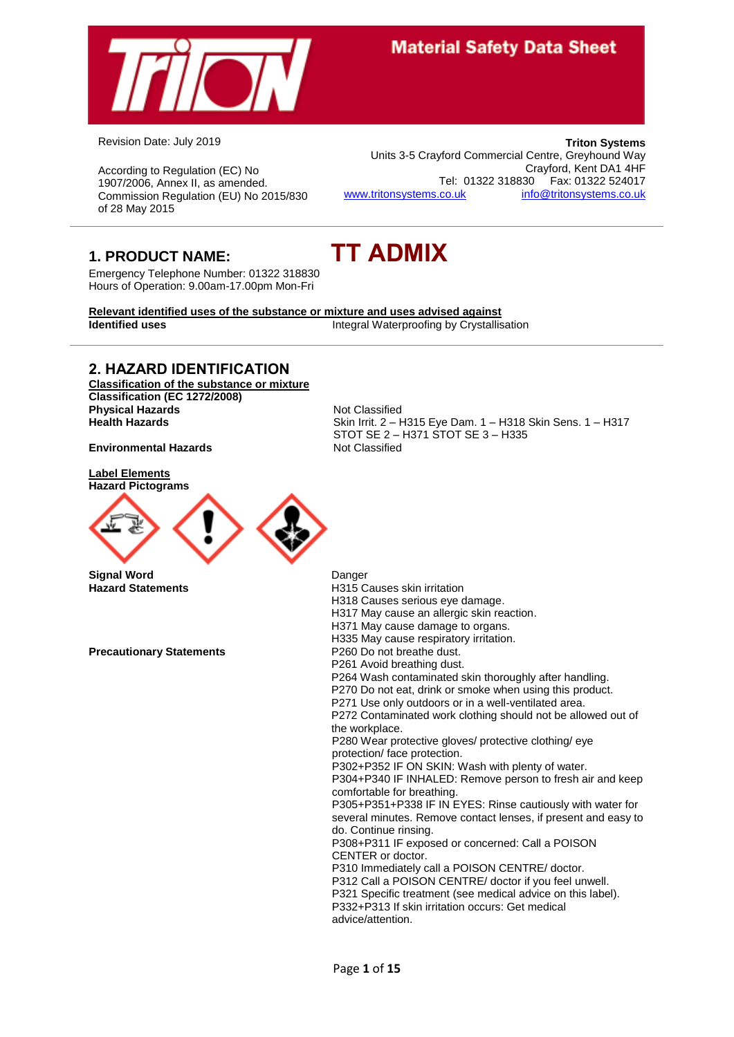

Revision Date: July 2019

According to Regulation (EC) No 1907/2006, Annex II, as amended. Commission Regulation (EU) No 2015/830 of 28 May 2015

**Triton Systems** Units 3-5 Crayford Commercial Centre, Greyhound Way Crayford, Kent DA1 4HF Tel: 01322 318830 Fax: 01322 524017 [www.tritonsystems.co.uk](http://www.tritonsystems.co.uk/) [info@tritonsystems.co.uk](mailto:info@tritonsystems.co.uk)

**1. PRODUCT NAME: TT ADMIX**

Emergency Telephone Number: 01322 318830 Hours of Operation: 9.00am-17.00pm Mon-Fri

**Relevant identified uses of the substance or mixture and uses advised against Identified uses Integral Waterproofing by Crystallisation** 

### **2. HAZARD IDENTIFICATION**

**Classification of the substance or mixture Classification (EC 1272/2008) Physical Hazards Not Classified**<br> **Health Hazards Not Classified**<br>
Skin Irrit. 2 – Health Hazards

**Environmental Hazards** Not Classified

**Label Elements Hazard Pictograms**



**Signal Word Danger Danger Danger Danger Hazard Statements** 

**Precautionary Statements** 

**Health Hazards** Skin Irrit. 2 – H315 Eye Dam. 1 – H318 Skin Sens. 1 – H317 STOT SE 2 – H371 STOT SE 3 – H335

| Danyor                                                         |
|----------------------------------------------------------------|
| H315 Causes skin irritation                                    |
| H318 Causes serious eye damage.                                |
| H317 May cause an allergic skin reaction.                      |
| H371 May cause damage to organs.                               |
| H335 May cause respiratory irritation.                         |
| P <sub>260</sub> Do not breathe dust.                          |
| P261 Avoid breathing dust.                                     |
| P264 Wash contaminated skin thoroughly after handling.         |
| P270 Do not eat, drink or smoke when using this product.       |
| P271 Use only outdoors or in a well-ventilated area.           |
| P272 Contaminated work clothing should not be allowed out of   |
| the workplace.                                                 |
| P280 Wear protective gloves/ protective clothing/ eye          |
| protection/face protection.                                    |
| P302+P352 IF ON SKIN: Wash with plenty of water.               |
| P304+P340 IF INHALED: Remove person to fresh air and keep      |
| comfortable for breathing.                                     |
| P305+P351+P338 IF IN EYES: Rinse cautiously with water for     |
| several minutes. Remove contact lenses, if present and easy to |
| do. Continue rinsing.                                          |
| P308+P311 IF exposed or concerned: Call a POISON               |
| CENTER or doctor.                                              |
| P310 Immediately call a POISON CENTRE/ doctor.                 |
| P312 Call a POISON CENTRE/ doctor if you feel unwell.          |
| P321 Specific treatment (see medical advice on this label).    |
| P332+P313 If skin irritation occurs: Get medical               |
| advice/attention.                                              |
|                                                                |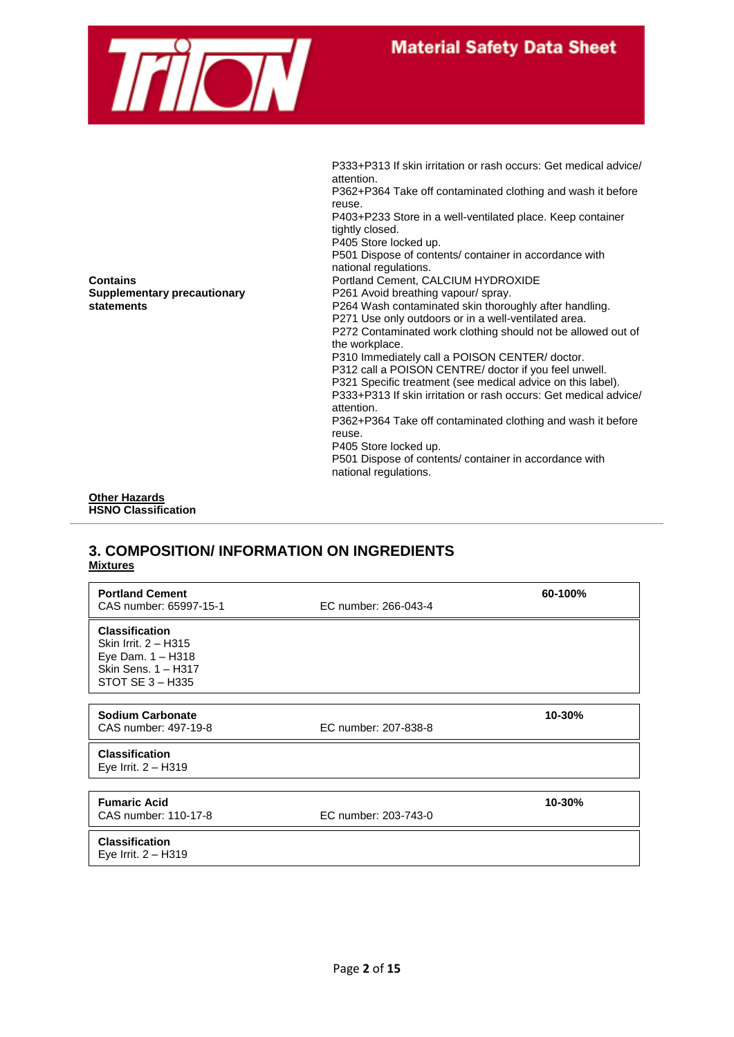

P333+P313 If skin irritation or rash occurs: Get medical advice/ attention. P362+P364 Take off contaminated clothing and wash it before reuse. P403+P233 Store in a well-ventilated place. Keep container tightly closed. P405 Store locked up. P501 Dispose of contents/ container in accordance with national regulations. **Contains Contains Portland Cement, CALCIUM HYDROXIDE Supplementary precautionary example 1980 P261** Avoid breathing vapour/ spray. **statements** P264 Wash contaminated skin thoroughly after handling. P271 Use only outdoors or in a well-ventilated area. P272 Contaminated work clothing should not be allowed out of the workplace. P310 Immediately call a POISON CENTER/ doctor. P312 call a POISON CENTRE/ doctor if you feel unwell. P321 Specific treatment (see medical advice on this label). P333+P313 If skin irritation or rash occurs: Get medical advice/ attention. P362+P364 Take off contaminated clothing and wash it before reuse. P405 Store locked up. P501 Dispose of contents/ container in accordance with national regulations.

#### **Other Hazards HSNO Classification**

### **3. COMPOSITION/ INFORMATION ON INGREDIENTS Mixtures**

| <b>Portland Cement</b><br>CAS number: 65997-15-1                                                                | EC number: 266-043-4 | 60-100% |
|-----------------------------------------------------------------------------------------------------------------|----------------------|---------|
| <b>Classification</b><br>Skin Irrit. 2 - H315<br>Eye Dam. 1 - H318<br>Skin Sens. 1 - H317<br>STOT SE $3 - H335$ |                      |         |
| Sodium Carbonate<br>CAS number: 497-19-8                                                                        | EC number: 207-838-8 | 10-30%  |
| <b>Classification</b><br>Eye Irrit. $2 - H319$                                                                  |                      |         |
|                                                                                                                 |                      |         |
| <b>Fumaric Acid</b><br>CAS number: 110-17-8                                                                     | EC number: 203-743-0 | 10-30%  |
| <b>Classification</b><br>Eye Irrit. $2 - H319$                                                                  |                      |         |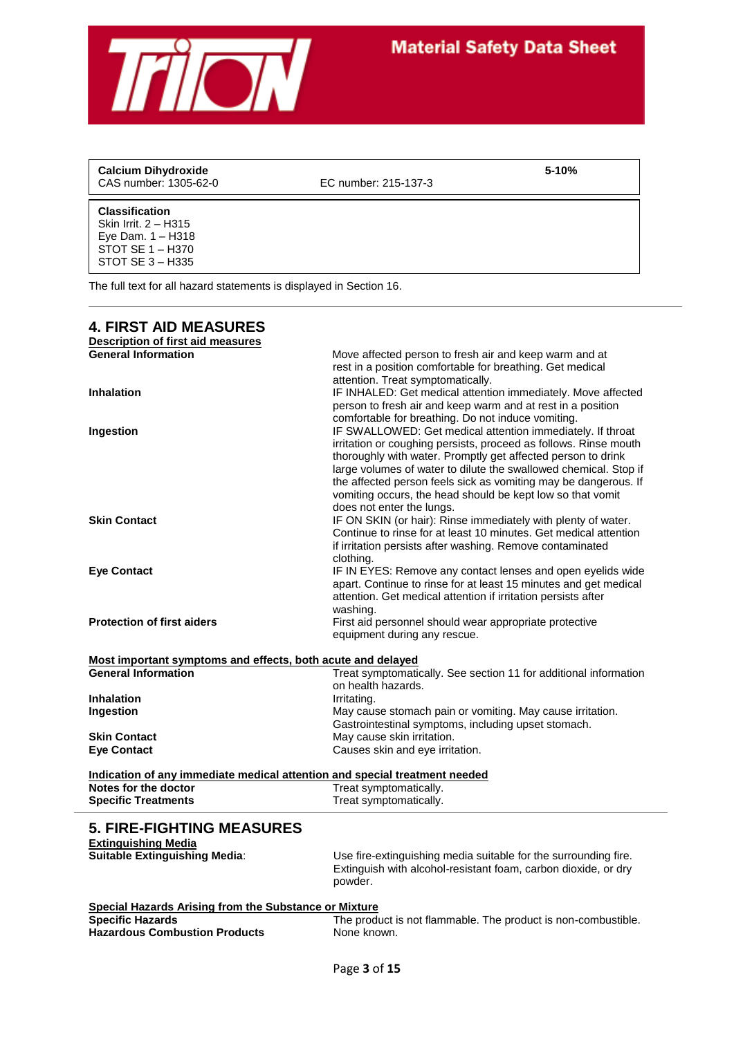

| <b>Calcium Dihydroxide</b><br>CAS number: 1305-62-0                                                            | EC number: 215-137-3 | $5 - 10%$ |
|----------------------------------------------------------------------------------------------------------------|----------------------|-----------|
| <b>Classification</b><br>Skin Irrit. 2 - H315<br>Eye Dam. 1 - H318<br>STOT SE $1 - H370$<br>STOT SE $3 - H335$ |                      |           |

The full text for all hazard statements is displayed in Section 16.

 $\frac{1}{2}$ 

| <b>4. FIRST AID MEASURES</b>                                               |                                                                                                                                                                                                                                                                                                                                                                                                                                  |
|----------------------------------------------------------------------------|----------------------------------------------------------------------------------------------------------------------------------------------------------------------------------------------------------------------------------------------------------------------------------------------------------------------------------------------------------------------------------------------------------------------------------|
| <b>Description of first aid measures</b>                                   |                                                                                                                                                                                                                                                                                                                                                                                                                                  |
| <b>General Information</b>                                                 | Move affected person to fresh air and keep warm and at<br>rest in a position comfortable for breathing. Get medical<br>attention. Treat symptomatically.                                                                                                                                                                                                                                                                         |
| <b>Inhalation</b>                                                          | IF INHALED: Get medical attention immediately. Move affected<br>person to fresh air and keep warm and at rest in a position<br>comfortable for breathing. Do not induce vomiting.                                                                                                                                                                                                                                                |
| Ingestion                                                                  | IF SWALLOWED: Get medical attention immediately. If throat<br>irritation or coughing persists, proceed as follows. Rinse mouth<br>thoroughly with water. Promptly get affected person to drink<br>large volumes of water to dilute the swallowed chemical. Stop if<br>the affected person feels sick as vomiting may be dangerous. If<br>vomiting occurs, the head should be kept low so that vomit<br>does not enter the lungs. |
| <b>Skin Contact</b>                                                        | IF ON SKIN (or hair): Rinse immediately with plenty of water.<br>Continue to rinse for at least 10 minutes. Get medical attention<br>if irritation persists after washing. Remove contaminated<br>clothing.                                                                                                                                                                                                                      |
| <b>Eye Contact</b>                                                         | IF IN EYES: Remove any contact lenses and open eyelids wide<br>apart. Continue to rinse for at least 15 minutes and get medical<br>attention. Get medical attention if irritation persists after<br>washing.                                                                                                                                                                                                                     |
| <b>Protection of first aiders</b>                                          | First aid personnel should wear appropriate protective<br>equipment during any rescue.                                                                                                                                                                                                                                                                                                                                           |
| Most important symptoms and effects, both acute and delayed                |                                                                                                                                                                                                                                                                                                                                                                                                                                  |
| <b>General Information</b>                                                 | Treat symptomatically. See section 11 for additional information                                                                                                                                                                                                                                                                                                                                                                 |
|                                                                            | on health hazards.                                                                                                                                                                                                                                                                                                                                                                                                               |
| <b>Inhalation</b>                                                          | Irritating.                                                                                                                                                                                                                                                                                                                                                                                                                      |
| Ingestion                                                                  | May cause stomach pain or vomiting. May cause irritation.                                                                                                                                                                                                                                                                                                                                                                        |
| <b>Skin Contact</b>                                                        | Gastrointestinal symptoms, including upset stomach.<br>May cause skin irritation.                                                                                                                                                                                                                                                                                                                                                |
| <b>Eye Contact</b>                                                         | Causes skin and eye irritation.                                                                                                                                                                                                                                                                                                                                                                                                  |
|                                                                            |                                                                                                                                                                                                                                                                                                                                                                                                                                  |
| Indication of any immediate medical attention and special treatment needed |                                                                                                                                                                                                                                                                                                                                                                                                                                  |
| Notes for the doctor                                                       | Treat symptomatically.                                                                                                                                                                                                                                                                                                                                                                                                           |
| <b>Specific Treatments</b>                                                 | Treat symptomatically.                                                                                                                                                                                                                                                                                                                                                                                                           |
| <b>5. FIRE-FIGHTING MEASURES</b>                                           |                                                                                                                                                                                                                                                                                                                                                                                                                                  |
| <b>Extinguishing Media</b><br><b>Suitable Extinguishing Media:</b>         |                                                                                                                                                                                                                                                                                                                                                                                                                                  |
|                                                                            | Use fire-extinguishing media suitable for the surrounding fire.<br>Extinguish with alcohol-resistant foam, carbon dioxide, or dry<br>powder.                                                                                                                                                                                                                                                                                     |
| <b>Special Hazards Arising from the Substance or Mixture</b>               |                                                                                                                                                                                                                                                                                                                                                                                                                                  |
| <b>Specific Hazards</b><br><b>Hazardous Combustion Products</b>            | The product is not flammable. The product is non-combustible.<br>None known.                                                                                                                                                                                                                                                                                                                                                     |
|                                                                            | $Diag$ 2 of 15                                                                                                                                                                                                                                                                                                                                                                                                                   |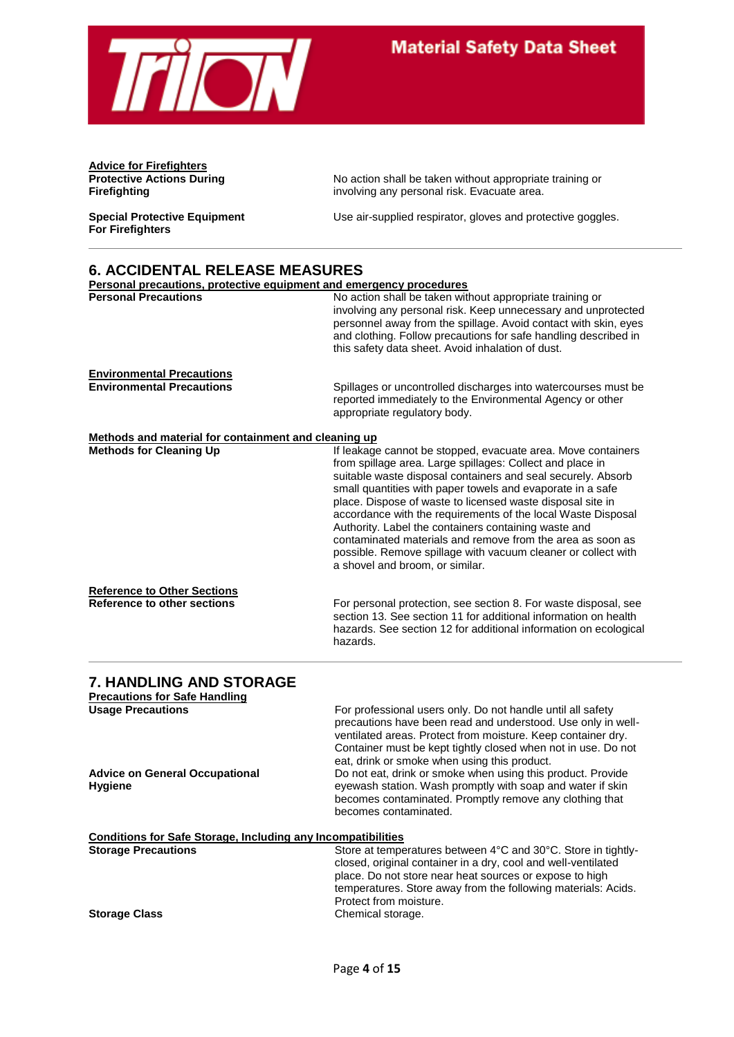

**Advice for Firefighters**

**For Firefighters**

**Protective Actions During The State Actions Action shall be taken without appropriate training or Firefighting any personal risk. Evacuate area.** involving any personal risk. Evacuate area.

**Special Protective Equipment** Use air-supplied respirator, gloves and protective goggles.

### **6. ACCIDENTAL RELEASE MEASURES**

| Personal precautions, protective equipment and emergency procedures      |                                                                                                                                                                                                                                                                                                                                                                                                                                                                                                                                                                                                                 |
|--------------------------------------------------------------------------|-----------------------------------------------------------------------------------------------------------------------------------------------------------------------------------------------------------------------------------------------------------------------------------------------------------------------------------------------------------------------------------------------------------------------------------------------------------------------------------------------------------------------------------------------------------------------------------------------------------------|
| <b>Personal Precautions</b>                                              | No action shall be taken without appropriate training or<br>involving any personal risk. Keep unnecessary and unprotected<br>personnel away from the spillage. Avoid contact with skin, eyes<br>and clothing. Follow precautions for safe handling described in<br>this safety data sheet. Avoid inhalation of dust.                                                                                                                                                                                                                                                                                            |
| <b>Environmental Precautions</b><br><b>Environmental Precautions</b>     | Spillages or uncontrolled discharges into watercourses must be<br>reported immediately to the Environmental Agency or other<br>appropriate regulatory body.                                                                                                                                                                                                                                                                                                                                                                                                                                                     |
| Methods and material for containment and cleaning up                     |                                                                                                                                                                                                                                                                                                                                                                                                                                                                                                                                                                                                                 |
| <b>Methods for Cleaning Up</b>                                           | If leakage cannot be stopped, evacuate area. Move containers<br>from spillage area. Large spillages: Collect and place in<br>suitable waste disposal containers and seal securely. Absorb<br>small quantities with paper towels and evaporate in a safe<br>place. Dispose of waste to licensed waste disposal site in<br>accordance with the requirements of the local Waste Disposal<br>Authority. Label the containers containing waste and<br>contaminated materials and remove from the area as soon as<br>possible. Remove spillage with vacuum cleaner or collect with<br>a shovel and broom, or similar. |
| <b>Reference to Other Sections</b><br><b>Reference to other sections</b> | For personal protection, see section 8. For waste disposal, see<br>section 13. See section 11 for additional information on health<br>hazards. See section 12 for additional information on ecological<br>hazards.                                                                                                                                                                                                                                                                                                                                                                                              |
| <b>7. HANDLING AND STORAGE</b><br><b>Precautions for Safe Handling</b>   |                                                                                                                                                                                                                                                                                                                                                                                                                                                                                                                                                                                                                 |
| <b>Usage Precautions</b><br><b>Advice on General Occupational</b>        | For professional users only. Do not handle until all safety<br>precautions have been read and understood. Use only in well-<br>ventilated areas. Protect from moisture. Keep container dry.<br>Container must be kept tightly closed when not in use. Do not<br>eat, drink or smoke when using this product.<br>Do not eat, drink or smoke when using this product. Provide                                                                                                                                                                                                                                     |
| <b>Hygiene</b>                                                           | eyewash station. Wash promptly with soap and water if skin<br>becomes contaminated. Promptly remove any clothing that<br>becomes contaminated.                                                                                                                                                                                                                                                                                                                                                                                                                                                                  |
| <b>Conditions for Safe Storage, Including any Incompatibilities</b>      |                                                                                                                                                                                                                                                                                                                                                                                                                                                                                                                                                                                                                 |
| <b>Storage Precautions</b>                                               | Store at temperatures between 4°C and 30°C. Store in tightly-<br>closed, original container in a dry, cool and well-ventilated<br>place. Do not store near heat sources or expose to high<br>temperatures. Store away from the following materials: Acids.<br>Protect from moisture.                                                                                                                                                                                                                                                                                                                            |
| <b>Storage Class</b>                                                     | Chemical storage.                                                                                                                                                                                                                                                                                                                                                                                                                                                                                                                                                                                               |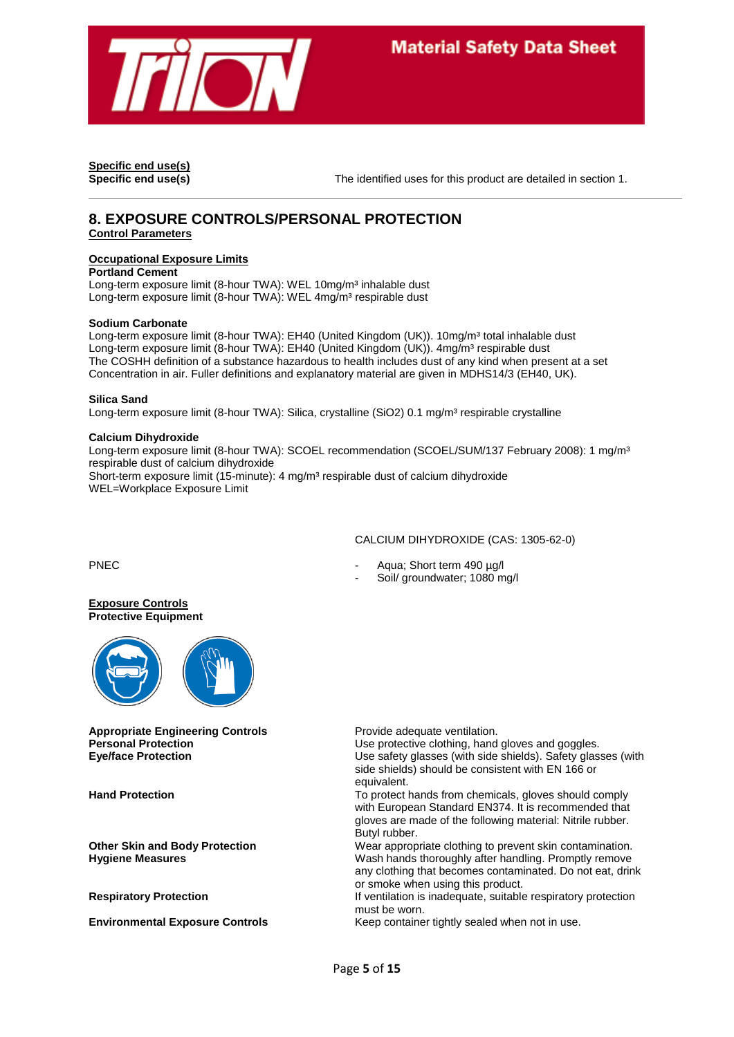

**Specific end use(s)**

**Specific end use(s)** The identified uses for this product are detailed in section 1.

### **8. EXPOSURE CONTROLS/PERSONAL PROTECTION Control Parameters**

### **Occupational Exposure Limits**

**Portland Cement**

Long-term exposure limit (8-hour TWA): WEL 10mg/m<sup>3</sup> inhalable dust Long-term exposure limit (8-hour TWA): WEL 4mg/m<sup>3</sup> respirable dust

#### **Sodium Carbonate**

Long-term exposure limit (8-hour TWA): EH40 (United Kingdom (UK)). 10mg/m<sup>3</sup> total inhalable dust Long-term exposure limit (8-hour TWA): EH40 (United Kingdom (UK)). 4mg/m<sup>3</sup> respirable dust The COSHH definition of a substance hazardous to health includes dust of any kind when present at a set Concentration in air. Fuller definitions and explanatory material are given in MDHS14/3 (EH40, UK).

#### **Silica Sand**

Long-term exposure limit (8-hour TWA): Silica, crystalline (SiO2) 0.1 mg/m<sup>3</sup> respirable crystalline

#### **Calcium Dihydroxide**

Long-term exposure limit (8-hour TWA): SCOEL recommendation (SCOEL/SUM/137 February 2008): 1 mg/m<sup>3</sup> respirable dust of calcium dihydroxide Short-term exposure limit (15-minute): 4 mg/m<sup>3</sup> respirable dust of calcium dihydroxide WEL=Workplace Exposure Limit

#### CALCIUM DIHYDROXIDE (CAS: 1305-62-0)

PNEC - Aqua; Short term 490 µg/l

Soil/ groundwater: 1080 mg/l

**Exposure Controls Protective Equipment**



**Appropriate Engineering Controls Provide adequate ventilation.** 

**Personal Protection Department COV** Use protective clothing, hand gloves and goggles. **Eye/face Protection** Use safety glasses (with side shields). Safety glasses (with side shields) should be consistent with EN 166 or equivalent.

**Hand Protection** To protect hands from chemicals, gloves should comply with European Standard EN374. It is recommended that gloves are made of the following material: Nitrile rubber. Butyl rubber.

**Other Skin and Body Protection** Wear appropriate clothing to prevent skin contamination. **Hygiene Measures Mass Accords** Wash hands thoroughly after handling. Promptly remove any clothing that becomes contaminated. Do not eat, drink or smoke when using this product.

**Respiratory Protection If ventilation is inadequate, suitable respiratory protection** must be worn.

**Environmental Exposure Controls** Keep container tightly sealed when not in use.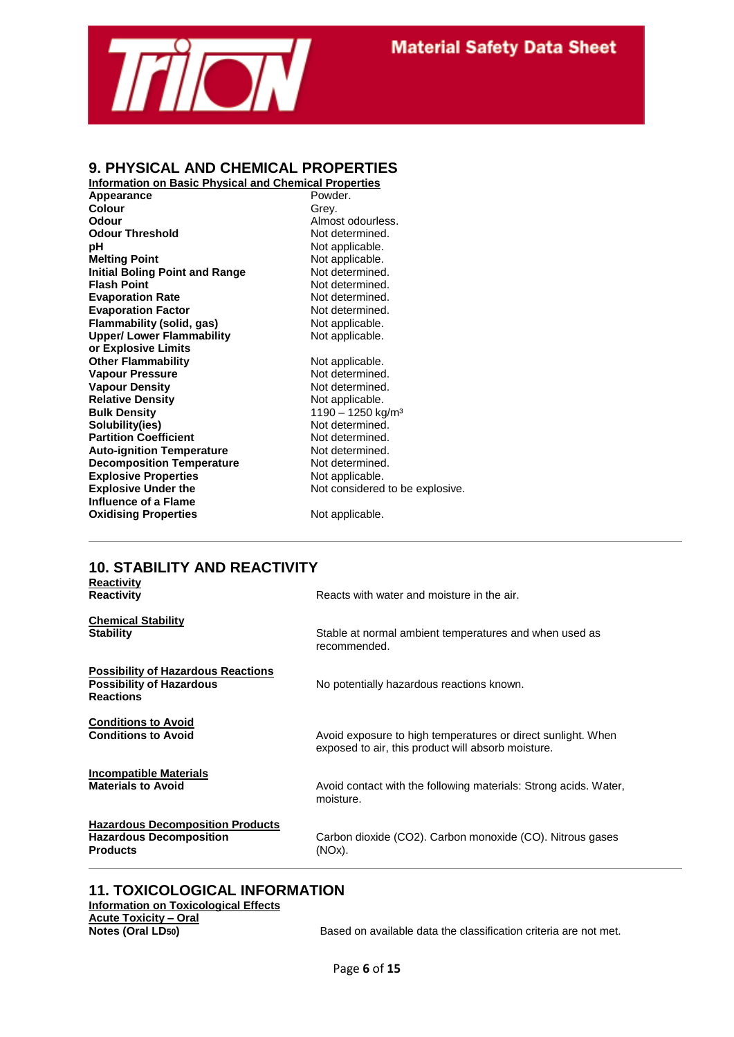

### **9. PHYSICAL AND CHEMICAL PROPERTIES**

**Information on Basic Physical and Chemical Properties Appearance** Powd<br> **Colour** Colour<br>
Crev. **Colour**<br>Odour **Odour Threshold pH** Not applicable. **Melting Point Melting Point Not applicable. Initial Boling Point and Range Mot determined.**<br> **Flash Point Communism Report Algebra** Not determined. **Evaporation Rate** Not determined. **Evaporation Factor** Not determined.<br> **Flammability (solid, gas)** Not applicable. **Flammability (solid, gas)** Not applicable.<br> **Upper/Lower Flammability** Not applicable. **Upper/ Lower Flammability or Explosive Limits Other Flammability Not applicable.**<br> **Vapour Pressure Not determined. Vapour Pressure Vapour Density Communisty Server Accord Property Relative Density Communisty Communisty Not applicable.**<br>
Not applicable. **Relative Density<br>Bulk Density Bulk Density**<br> **Solubility(ies)**<br> **Bulk Density** 1190 – 1250 kg/m<sup>3</sup><br>
Not determined. **Partition Coefficient Not determined.**<br> **Auto-ignition Temperature** Mot determined. **Auto-ignition Temperature** Not determined.<br> **Decomposition Temperature** Not determined. **Decomposition Temperature Explosive Properties** Not applicable.<br> **Explosive Under the Not considered Influence of a Flame Oxidising Properties** Not applicable.

Almost odourless.<br>Not determined. **Not determined.** 

Not determined.<br>Not determined. Not considered to be explosive.

#### **10. STABILITY AND REACTIVITY Reactivity**

| кеаситну<br>Reactivity                                                                           | Reacts with water and moisture in the air.                                                                         |
|--------------------------------------------------------------------------------------------------|--------------------------------------------------------------------------------------------------------------------|
| <b>Chemical Stability</b><br>Stability                                                           | Stable at normal ambient temperatures and when used as<br>recommended.                                             |
| <b>Possibility of Hazardous Reactions</b><br><b>Possibility of Hazardous</b><br><b>Reactions</b> | No potentially hazardous reactions known.                                                                          |
| <b>Conditions to Avoid</b><br><b>Conditions to Avoid</b>                                         | Avoid exposure to high temperatures or direct sunlight. When<br>exposed to air, this product will absorb moisture. |
| Incompatible Materials<br><b>Materials to Avoid</b>                                              | Avoid contact with the following materials: Strong acids. Water,<br>moisture.                                      |
| <b>Hazardous Decomposition Products</b><br><b>Hazardous Decomposition</b><br>Products            | Carbon dioxide (CO2). Carbon monoxide (CO). Nitrous gases<br>(NOx).                                                |
|                                                                                                  |                                                                                                                    |

### **11. TOXICOLOGICAL INFORMATION Information on Toxicological Effects Acute Toxicity – Oral**

Based on available data the classification criteria are not met.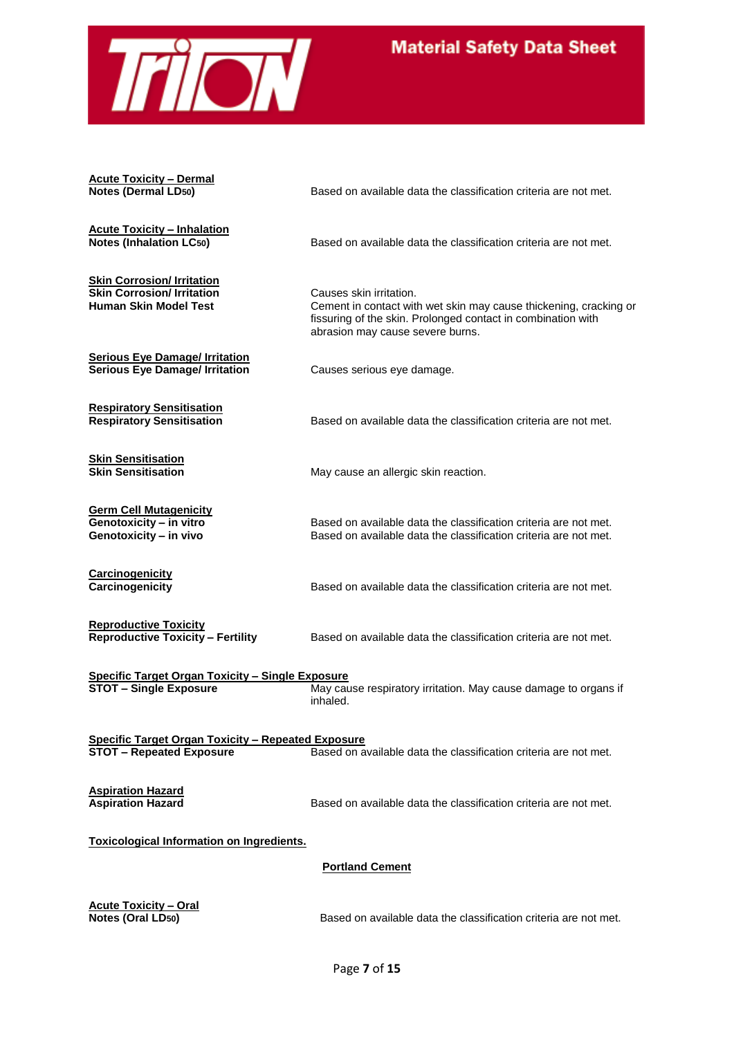

**Acute Toxicity – Dermal**

**Acute Toxicity – Inhalation**

**Skin Corrosion/ Irritation Skin Corrosion/ Irritation**<br> **Human Skin Model Test** Cement in contact wit

**Notes (Dermal LD50)** Based on available data the classification criteria are not met.

Based on available data the classification criteria are not met.

Cement in contact with wet skin may cause thickening, cracking or fissuring of the skin. Prolonged contact in combination with abrasion may cause severe burns.

**Serious Eye Damage/ Irritation Serious Eye Damage/ Irritation** Causes serious eye damage.

**Respiratory Sensitisation Respiratory Sensitisation** Based on available data the classification criteria are not met.

**Skin Sensitisation**

**Germ Cell Mutagenicity Genotoxicity – in vivo** Based on available data the classification criteria are not met.

**Carcinogenicity**

**Carcinogenicity** Based on available data the classification criteria are not met.

Based on available data the classification criteria are not met.

May cause an allergic skin reaction.

**Reproductive Toxicity**

**Reproductive Toxicity – Fertility** Based on available data the classification criteria are not met.

**Specific Target Organ Toxicity – Single Exposure STOT – Single Exposure** May cause respiratory irritation. May cause damage to organs if inhaled.

**Specific Target Organ Toxicity – Repeated Exposure STOT – Repeated Exposure** Based on available data the classification criteria are not met.

**Aspiration Hazard**

**Aspiration Hazard** Based on available data the classification criteria are not met.

**Toxicological Information on Ingredients.**

**Portland Cement**

**Acute Toxicity – Oral**

**Notes (Oral LD50)** Based on available data the classification criteria are not met.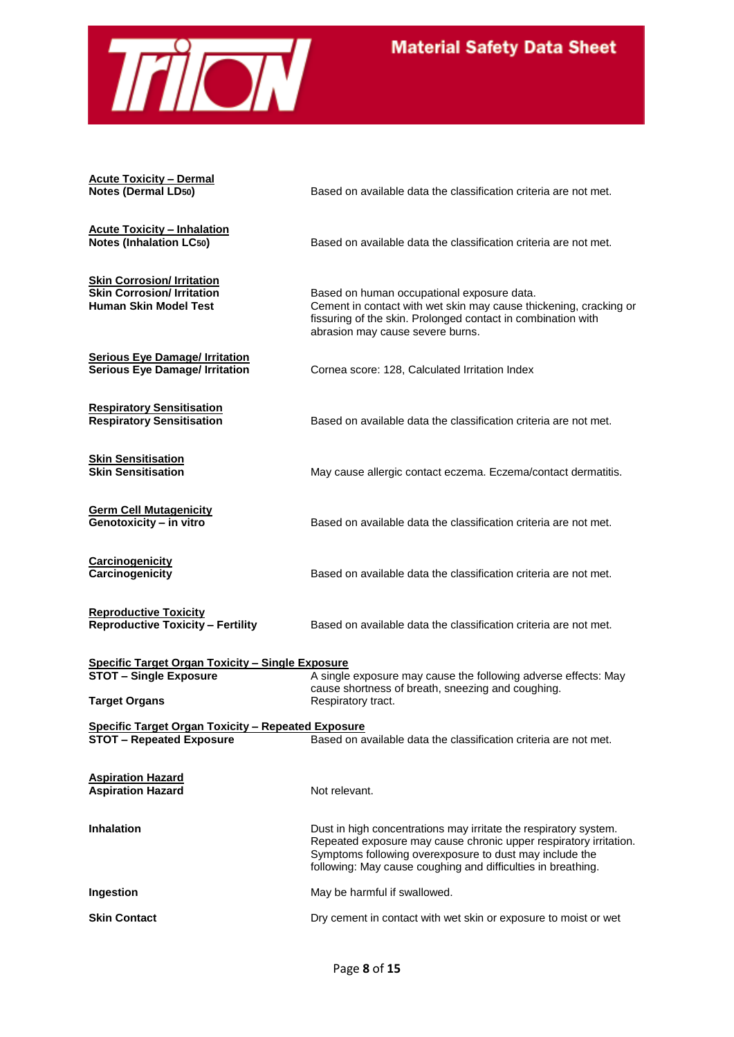

**Acute Toxicity – Dermal Notes (Dermal LD50)** Based on available data the classification criteria are not met. **Acute Toxicity – Inhalation** Based on available data the classification criteria are not met. **Skin Corrosion/ Irritation Skin Corrosion/ Irritation**<br> **Based on human occupational exposure data.**<br> **Based on human occupational exposure data.**<br>
Cement in contact with wet skin may cause thi Cement in contact with wet skin may cause thickening, cracking or fissuring of the skin. Prolonged contact in combination with abrasion may cause severe burns. **Serious Eye Damage/ Irritation**<br>**Serious Eye Damage/ Irritation Cornea score: 128, Calculated Irritation Index Respiratory Sensitisation Respiratory Sensitisation** Based on available data the classification criteria are not met. **Skin Sensitisation** May cause allergic contact eczema. Eczema/contact dermatitis. **Germ Cell Mutagenicity** Based on available data the classification criteria are not met. **Carcinogenicity** Based on available data the classification criteria are not met. **Reproductive Toxicity<br>Reproductive Toxicity - Fertility Based on available data the classification criteria are not met. Specific Target Organ Toxicity – Single Exposure STOT – Single Exposure** A single exposure may cause the following adverse effects: May cause shortness of breath, sneezing and coughing. **Target Organs** Respiratory tract. **Specific Target Organ Toxicity – Repeated Exposure STOT – Repeated Exposure** Based on available data the classification criteria are not met. **Aspiration Hazard Aspiration Hazard** Not relevant. **Inhalation Dust in high concentrations may irritate the respiratory system.** Repeated exposure may cause chronic upper respiratory irritation. Symptoms following overexposure to dust may include the following: May cause coughing and difficulties in breathing. **Ingestion** May be harmful if swallowed. **Skin Contact Dry cement in contact with wet skin or exposure to moist or wet**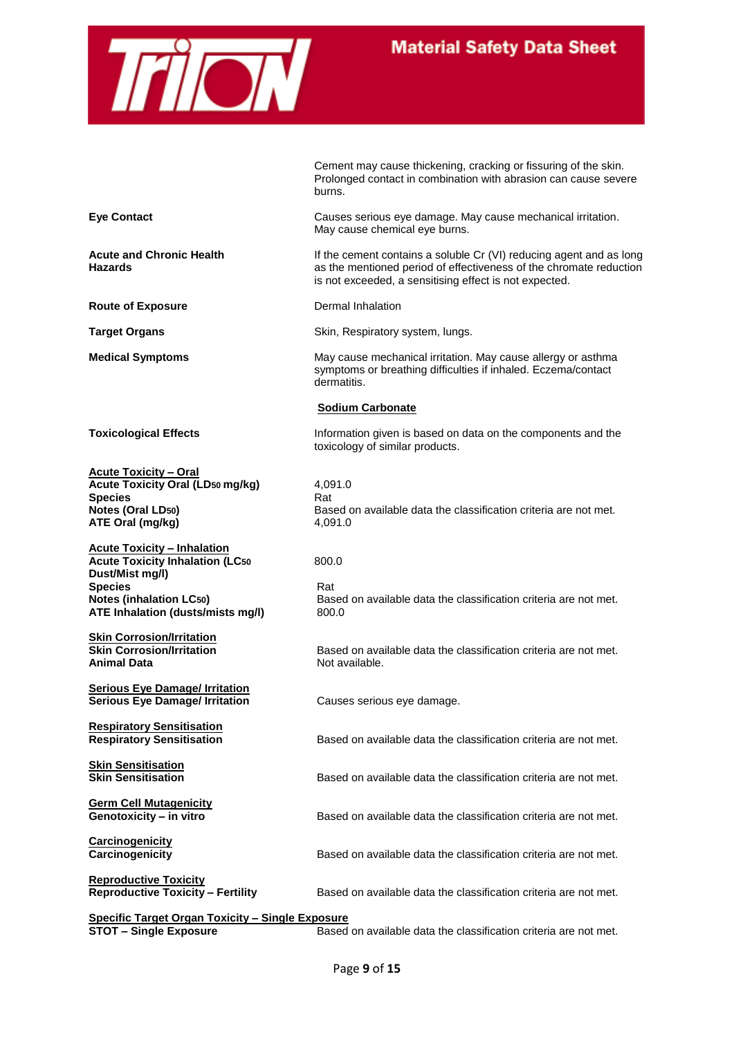

|                                                                                                                                                                                          | Cement may cause thickening, cracking or fissuring of the skin.<br>Prolonged contact in combination with abrasion can cause severe<br>burns.                                                        |
|------------------------------------------------------------------------------------------------------------------------------------------------------------------------------------------|-----------------------------------------------------------------------------------------------------------------------------------------------------------------------------------------------------|
| <b>Eye Contact</b>                                                                                                                                                                       | Causes serious eye damage. May cause mechanical irritation.<br>May cause chemical eye burns.                                                                                                        |
| <b>Acute and Chronic Health</b><br><b>Hazards</b>                                                                                                                                        | If the cement contains a soluble Cr (VI) reducing agent and as long<br>as the mentioned period of effectiveness of the chromate reduction<br>is not exceeded, a sensitising effect is not expected. |
| <b>Route of Exposure</b>                                                                                                                                                                 | Dermal Inhalation                                                                                                                                                                                   |
| <b>Target Organs</b>                                                                                                                                                                     | Skin, Respiratory system, lungs.                                                                                                                                                                    |
| <b>Medical Symptoms</b>                                                                                                                                                                  | May cause mechanical irritation. May cause allergy or asthma<br>symptoms or breathing difficulties if inhaled. Eczema/contact<br>dermatitis.                                                        |
|                                                                                                                                                                                          | <b>Sodium Carbonate</b>                                                                                                                                                                             |
| <b>Toxicological Effects</b>                                                                                                                                                             | Information given is based on data on the components and the<br>toxicology of similar products.                                                                                                     |
| <b>Acute Toxicity - Oral</b><br><b>Acute Toxicity Oral (LD50 mg/kg)</b><br><b>Species</b><br><b>Notes (Oral LD50)</b><br>ATE Oral (mg/kg)                                                | 4,091.0<br>Rat<br>Based on available data the classification criteria are not met.<br>4,091.0                                                                                                       |
| <b>Acute Toxicity - Inhalation</b><br><b>Acute Toxicity Inhalation (LC50</b><br>Dust/Mist mg/l)<br><b>Species</b><br><b>Notes (inhalation LC50)</b><br>ATE Inhalation (dusts/mists mg/l) | 800.0<br>Rat<br>Based on available data the classification criteria are not met.<br>800.0                                                                                                           |
| <b>Skin Corrosion/Irritation</b><br><b>Skin Corrosion/Irritation</b><br><b>Animal Data</b>                                                                                               | Based on available data the classification criteria are not met.<br>Not available.                                                                                                                  |
| <b>Serious Eye Damage/ Irritation</b><br><b>Serious Eye Damage/ Irritation</b>                                                                                                           | Causes serious eye damage.                                                                                                                                                                          |
| <b>Respiratory Sensitisation</b><br><b>Respiratory Sensitisation</b>                                                                                                                     | Based on available data the classification criteria are not met.                                                                                                                                    |
| <b>Skin Sensitisation</b><br><b>Skin Sensitisation</b>                                                                                                                                   | Based on available data the classification criteria are not met.                                                                                                                                    |
| <b>Germ Cell Mutagenicity</b><br>Genotoxicity - in vitro                                                                                                                                 | Based on available data the classification criteria are not met.                                                                                                                                    |
| <b>Carcinogenicity</b><br>Carcinogenicity                                                                                                                                                | Based on available data the classification criteria are not met.                                                                                                                                    |
| <b>Reproductive Toxicity</b><br><b>Reproductive Toxicity - Fertility</b>                                                                                                                 | Based on available data the classification criteria are not met.                                                                                                                                    |
| <b>Specific Target Organ Toxicity - Single Exposure</b><br><b>STOT - Single Exposure</b>                                                                                                 | Based on available data the classification criteria are not met.                                                                                                                                    |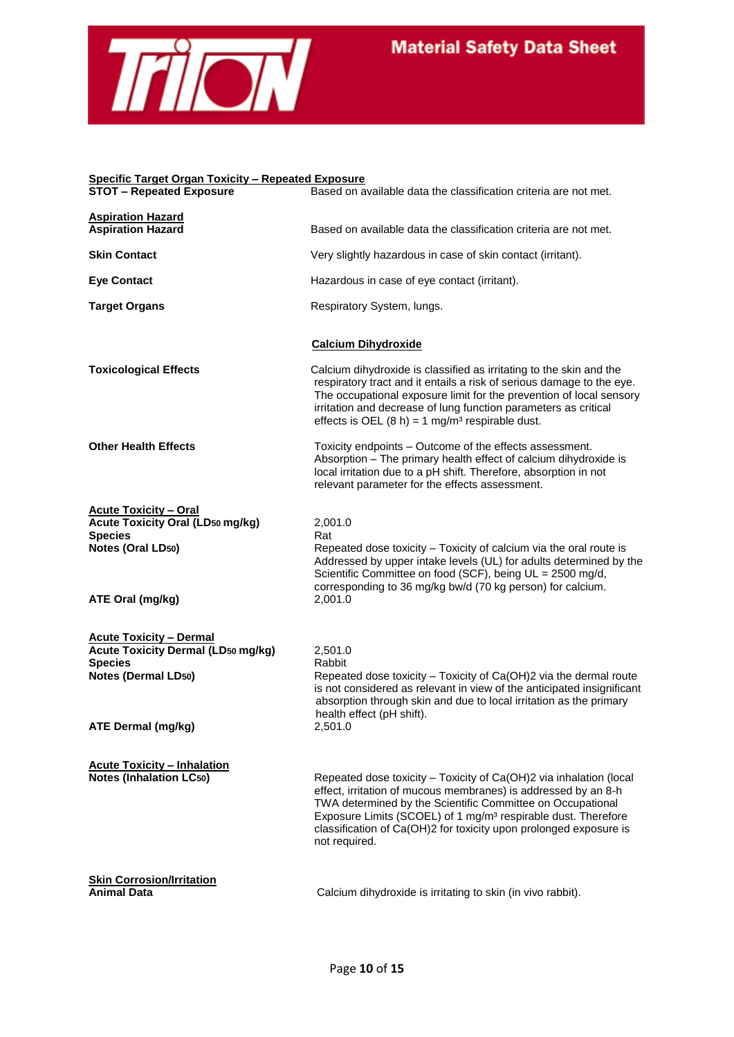

### **Specific Target Organ Toxicity – Repeated Exposure**

| <u> Specific Target Organ Toxicity – Repeated Exposure</u><br><b>STOT - Repeated Exposure</b> | Based on available data the classification criteria are not met.                                                                                                                                                                                                                                                                                                      |
|-----------------------------------------------------------------------------------------------|-----------------------------------------------------------------------------------------------------------------------------------------------------------------------------------------------------------------------------------------------------------------------------------------------------------------------------------------------------------------------|
| <b>Aspiration Hazard</b>                                                                      |                                                                                                                                                                                                                                                                                                                                                                       |
| <b>Aspiration Hazard</b>                                                                      | Based on available data the classification criteria are not met.                                                                                                                                                                                                                                                                                                      |
| <b>Skin Contact</b>                                                                           | Very slightly hazardous in case of skin contact (irritant).                                                                                                                                                                                                                                                                                                           |
| <b>Eye Contact</b>                                                                            | Hazardous in case of eye contact (irritant).                                                                                                                                                                                                                                                                                                                          |
| <b>Target Organs</b>                                                                          | Respiratory System, lungs.                                                                                                                                                                                                                                                                                                                                            |
|                                                                                               | <b>Calcium Dihydroxide</b>                                                                                                                                                                                                                                                                                                                                            |
| <b>Toxicological Effects</b>                                                                  | Calcium dihydroxide is classified as irritating to the skin and the<br>respiratory tract and it entails a risk of serious damage to the eye.<br>The occupational exposure limit for the prevention of local sensory<br>irritation and decrease of lung function parameters as critical<br>effects is OEL $(8 h) = 1 mg/m3$ respirable dust.                           |
| <b>Other Health Effects</b>                                                                   | Toxicity endpoints - Outcome of the effects assessment.<br>Absorption - The primary health effect of calcium dihydroxide is<br>local irritation due to a pH shift. Therefore, absorption in not<br>relevant parameter for the effects assessment.                                                                                                                     |
| <b>Acute Toxicity - Oral</b><br><b>Acute Toxicity Oral (LD50 mg/kg)</b>                       | 2,001.0                                                                                                                                                                                                                                                                                                                                                               |
| <b>Species</b>                                                                                | Rat                                                                                                                                                                                                                                                                                                                                                                   |
| Notes (Oral LD50)                                                                             | Repeated dose toxicity - Toxicity of calcium via the oral route is<br>Addressed by upper intake levels (UL) for adults determined by the<br>Scientific Committee on food (SCF), being UL = 2500 mg/d,<br>corresponding to 36 mg/kg bw/d (70 kg person) for calcium.                                                                                                   |
| ATE Oral (mg/kg)                                                                              | 2,001.0                                                                                                                                                                                                                                                                                                                                                               |
| <b>Acute Toxicity - Dermal</b>                                                                |                                                                                                                                                                                                                                                                                                                                                                       |
| <b>Acute Toxicity Dermal (LD50 mg/kg)</b>                                                     | 2,501.0                                                                                                                                                                                                                                                                                                                                                               |
| <b>Species</b><br><b>Notes (Dermal LD50)</b>                                                  | Rabbit<br>Repeated dose toxicity - Toxicity of Ca(OH)2 via the dermal route<br>is not considered as relevant in view of the anticipated insignificant<br>absorption through skin and due to local irritation as the primary<br>health effect (pH shift).                                                                                                              |
| ATE Dermal (mg/kg)                                                                            | 2,501.0                                                                                                                                                                                                                                                                                                                                                               |
| <b>Acute Toxicity - Inhalation</b>                                                            |                                                                                                                                                                                                                                                                                                                                                                       |
| <b>Notes (Inhalation LC50)</b>                                                                | Repeated dose toxicity - Toxicity of Ca(OH)2 via inhalation (local<br>effect, irritation of mucous membranes) is addressed by an 8-h<br>TWA determined by the Scientific Committee on Occupational<br>Exposure Limits (SCOEL) of 1 mg/m <sup>3</sup> respirable dust. Therefore<br>classification of Ca(OH)2 for toxicity upon prolonged exposure is<br>not required. |
| <b>Skin Corrosion/Irritation</b><br><b>Animal Data</b>                                        | Calcium dihydroxide is irritating to skin (in vivo rabbit).                                                                                                                                                                                                                                                                                                           |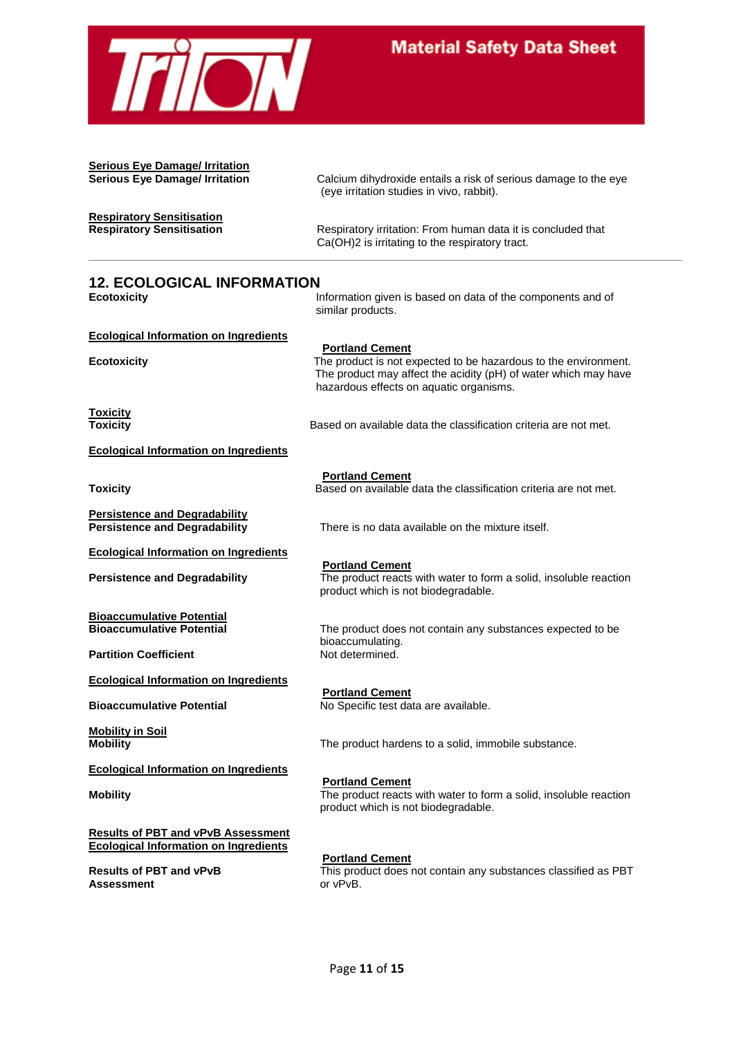

**Serious Eye Damage/ Irritation**

**Serious Eye Damage/ Irritation** Calcium dihydroxide entails a risk of serious damage to the eye (eye irritation studies in vivo, rabbit).

**Respiratory Sensitisation**

**Respiratory Sensitisation <b>Respiratory intervalle** Respiratory irritation: From human data it is concluded that Ca(OH)2 is irritating to the respiratory tract.

### **12. ECOLOGICAL INFORMATION**

**Ecotoxicity Information given is based on data of the components and of** similar products.

**Ecological Information on Ingredients**

**Ecotoxicity** The product is not expected to be hazardous to the environment.

**Toxicity**

hazardous effects on aquatic organisms.

The product may affect the acidity (pH) of water which may have

Based on available data the classification criteria are not met.

**Ecological Information on Ingredients** 

**Persistence and Degradability**

**Ecological Information on Ingredients** 

**Bioaccumulative Potential**

**Partition Coefficient** 

**Ecological Information on Ingredients**

**Mobility in Soil**

**Ecological Information on Ingredients**

**Results of PBT and vPvB Assessment Ecological Information on Ingredients** 

**Assessment** or vPvB.

**Portland Cement Toxicity Based on available data the classification criteria are not met.** 

**Persistence and Degradability** There is no data available on the mixture itself.

**Portland Cement**

**Portland Cement Persistence and Degradability** The product reacts with water to form a solid, insoluble reaction product which is not biodegradable.

> The product does not contain any substances expected to be bioaccumulating.<br>Not determined.

**Portland Cement Bioaccumulative Potential** No Specific test data are available.

The product hardens to a solid, immobile substance.

**Portland Cement Mobility** Mobility **The product reacts with water to form a solid, insoluble reaction** product which is not biodegradable.

**Portland Cement**

**Results of PBT and vPvB** This product does not contain any substances classified as PBT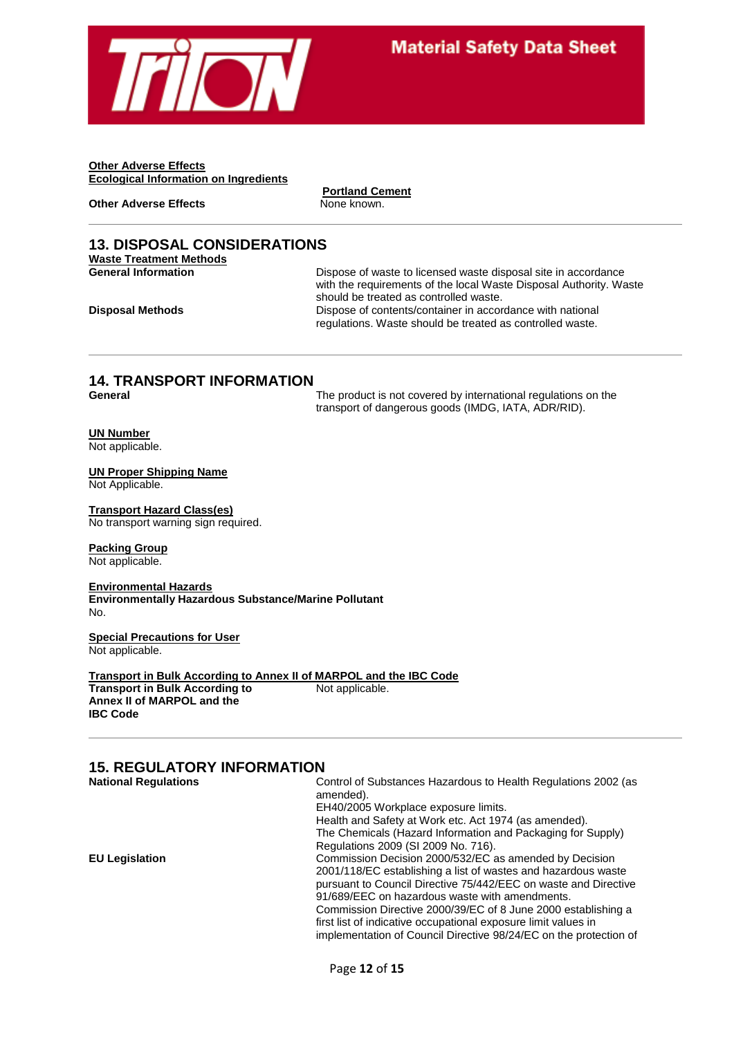

**Other Adverse Effects Ecological Information on Ingredients**

**Other Adverse Effects** None known.

**Portland Cement**

#### **13. DISPOSAL CONSIDERATIONS Waste Treatment Methods**

**General Information Dispose of waste to licensed waste disposal site in accordance** with the requirements of the local Waste Disposal Authority. Waste should be treated as controlled waste. **Disposal Methods Dispose of contents/container in accordance with national** regulations. Waste should be treated as controlled waste.

# **14. TRANSPORT INFORMATION**

The product is not covered by international regulations on the transport of dangerous goods (IMDG, IATA, ADR/RID).

### **UN Number**

Not applicable.

#### **UN Proper Shipping Name**

Not Applicable.

#### **Transport Hazard Class(es)** No transport warning sign required.

#### **Packing Group**

Not applicable.

#### **Environmental Hazards Environmentally Hazardous Substance/Marine Pollutant** No.

**Special Precautions for User** Not applicable.

**Transport in Bulk According to Annex II of MARPOL and the IBC Code Transport in Bulk According to** Not applicable. **Annex II of MARPOL and the IBC Code**

### **15. REGULATORY INFORMATION**

| <b>National Regulations</b> | Control of Substances Hazardous to Health Regulations 2002 (as    |
|-----------------------------|-------------------------------------------------------------------|
|                             | amended).                                                         |
|                             | EH40/2005 Workplace exposure limits.                              |
|                             | Health and Safety at Work etc. Act 1974 (as amended).             |
|                             | The Chemicals (Hazard Information and Packaging for Supply)       |
|                             | Regulations 2009 (SI 2009 No. 716).                               |
| <b>EU Legislation</b>       | Commission Decision 2000/532/EC as amended by Decision            |
|                             | 2001/118/EC establishing a list of wastes and hazardous waste     |
|                             | pursuant to Council Directive 75/442/EEC on waste and Directive   |
|                             | 91/689/EEC on hazardous waste with amendments.                    |
|                             | Commission Directive 2000/39/EC of 8 June 2000 establishing a     |
|                             | first list of indicative occupational exposure limit values in    |
|                             | implementation of Council Directive 98/24/EC on the protection of |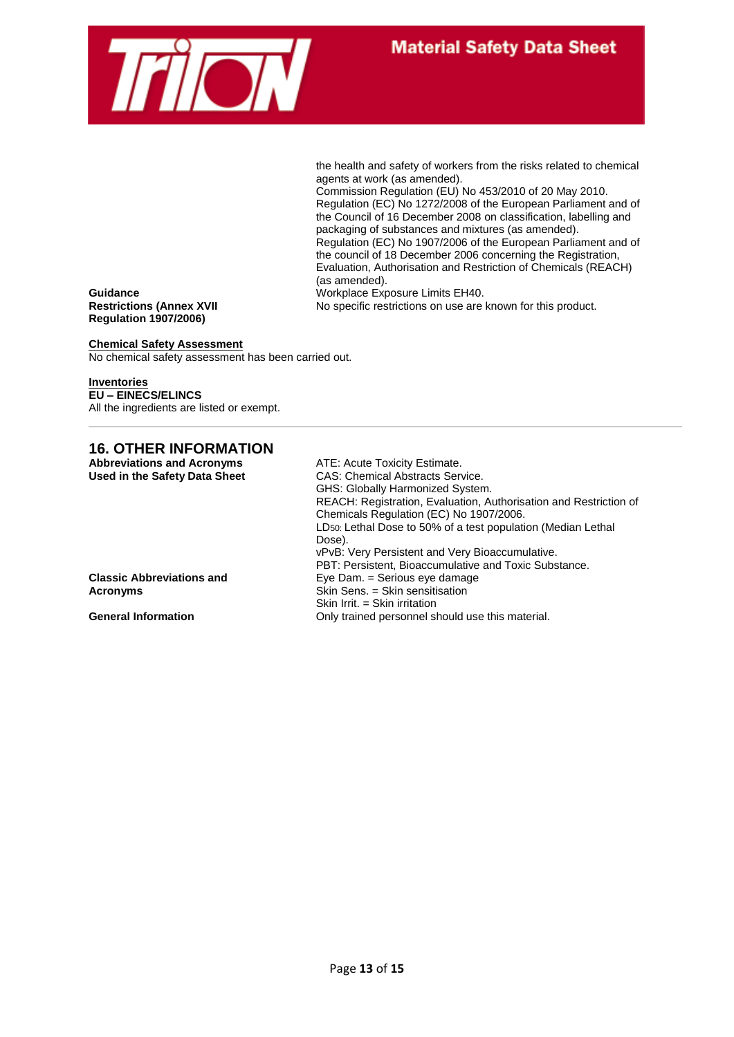

the health and safety of workers from the risks related to chemical agents at work (as amended).

Commission Regulation (EU) No 453/2010 of 20 May 2010. Regulation (EC) No 1272/2008 of the European Parliament and of the Council of 16 December 2008 on classification, labelling and packaging of substances and mixtures (as amended). Regulation (EC) No 1907/2006 of the European Parliament and of the council of 18 December 2006 concerning the Registration, Evaluation, Authorisation and Restriction of Chemicals (REACH) (as amended).

**Guidance** Workplace Exposure Limits EH40.<br> **Restrictions (Annex XVII** No specific restrictions on use are

No specific restrictions on use are known for this product.

**Regulation 1907/2006)**

**Chemical Safety Assessment** No chemical safety assessment has been carried out.

#### **Inventories**

**EU – EINECS/ELINCS** All the ingredients are listed or exempt.

### **16. OTHER INFORMATION**

| <b>Abbreviations and Acronyms</b> | ATE: Acute Toxicity Estimate.                                             |
|-----------------------------------|---------------------------------------------------------------------------|
| Used in the Safety Data Sheet     | <b>CAS: Chemical Abstracts Service.</b>                                   |
|                                   | GHS: Globally Harmonized System.                                          |
|                                   | REACH: Registration, Evaluation, Authorisation and Restriction of         |
|                                   | Chemicals Regulation (EC) No 1907/2006.                                   |
|                                   | LD <sub>50</sub> : Lethal Dose to 50% of a test population (Median Lethal |
|                                   | Dose).                                                                    |
|                                   | vPvB: Very Persistent and Very Bioaccumulative.                           |
|                                   | PBT: Persistent, Bioaccumulative and Toxic Substance.                     |
| <b>Classic Abbreviations and</b>  | Eye Dam. = Serious eye damage                                             |
| Acronyms                          | Skin Sens. = Skin sensitisation                                           |
|                                   | Skin Irrit. $=$ Skin irritation                                           |
| <b>General Information</b>        | Only trained personnel should use this material.                          |

Page **13** of **15**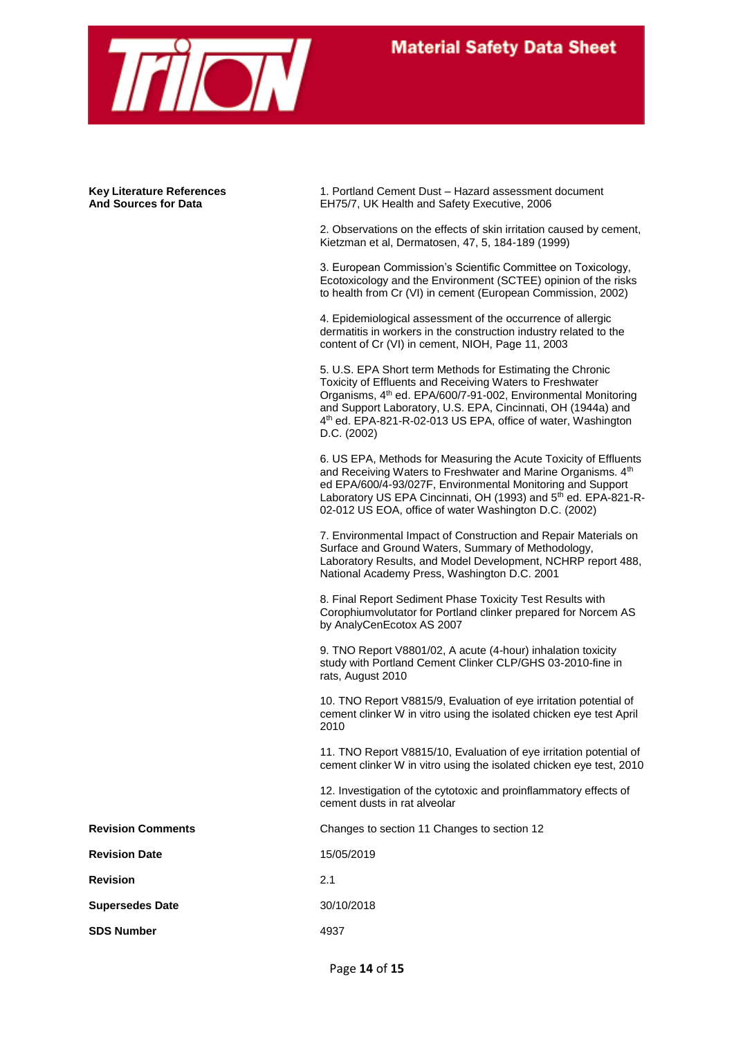

**Key Literature References** 1. Portland Cement Dust – Hazard assessment document **And Sources for Data** EH75/7, UK Health and Safety Executive, 2006

> 2. Observations on the effects of skin irritation caused by cement, Kietzman et al, Dermatosen, 47, 5, 184-189 (1999)

> 3. European Commission's Scientific Committee on Toxicology, Ecotoxicology and the Environment (SCTEE) opinion of the risks to health from Cr (VI) in cement (European Commission, 2002)

4. Epidemiological assessment of the occurrence of allergic dermatitis in workers in the construction industry related to the content of Cr (VI) in cement, NIOH, Page 11, 2003

5. U.S. EPA Short term Methods for Estimating the Chronic Toxicity of Effluents and Receiving Waters to Freshwater Organisms, 4th ed. EPA/600/7-91-002, Environmental Monitoring and Support Laboratory, U.S. EPA, Cincinnati, OH (1944a) and 4<sup>th</sup> ed. EPA-821-R-02-013 US EPA, office of water, Washington D.C. (2002)

6. US EPA, Methods for Measuring the Acute Toxicity of Effluents and Receiving Waters to Freshwater and Marine Organisms. 4th ed EPA/600/4-93/027F, Environmental Monitoring and Support Laboratory US EPA Cincinnati, OH (1993) and 5<sup>th</sup> ed. EPA-821-R-02-012 US EOA, office of water Washington D.C. (2002)

7. Environmental Impact of Construction and Repair Materials on Surface and Ground Waters, Summary of Methodology, Laboratory Results, and Model Development, NCHRP report 488, National Academy Press, Washington D.C. 2001

8. Final Report Sediment Phase Toxicity Test Results with Corophiumvolutator for Portland clinker prepared for Norcem AS by AnalyCenEcotox AS 2007

9. TNO Report V8801/02, A acute (4-hour) inhalation toxicity study with Portland Cement Clinker CLP/GHS 03-2010-fine in rats, August 2010

10. TNO Report V8815/9, Evaluation of eye irritation potential of cement clinker W in vitro using the isolated chicken eye test April 2010

11. TNO Report V8815/10, Evaluation of eye irritation potential of cement clinker W in vitro using the isolated chicken eye test, 2010

12. Investigation of the cytotoxic and proinflammatory effects of cement dusts in rat alveolar

**Revision Comments** Changes to section 11 Changes to section 12

**Revision Date** 15/05/2019

**Revision** 2.1

**Supersedes Date** 30/10/2018

**SDS Number** 4937